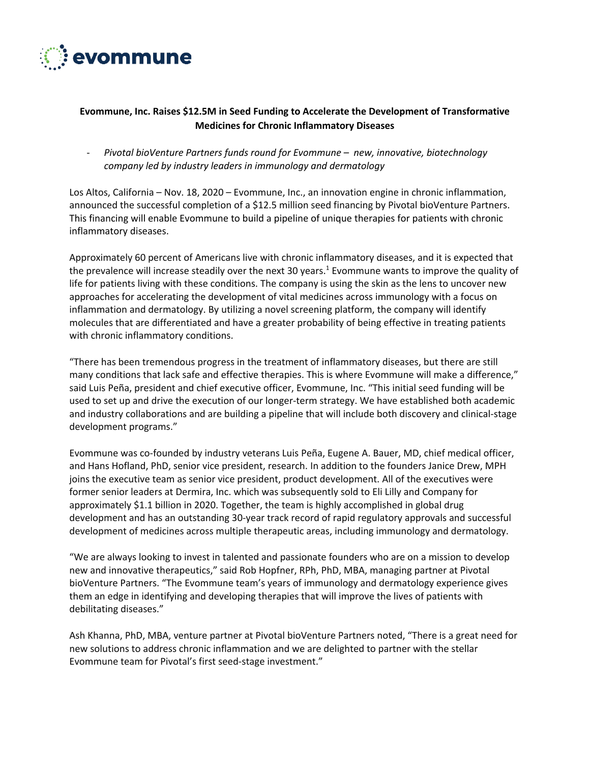

## **Evommune, Inc. Raises \$12.5M in Seed Funding to Accelerate the Development of Transformative Medicines for Chronic Inflammatory Diseases**

- *Pivotal bioVenture Partners funds round for Evommune – new, innovative, biotechnology company led by industry leaders in immunology and dermatology*

Los Altos, California – Nov. 18, 2020 – Evommune, Inc., an innovation engine in chronic inflammation, announced the successful completion of a \$12.5 million seed financing by Pivotal bioVenture Partners. This financing will enable Evommune to build a pipeline of unique therapies for patients with chronic inflammatory diseases.

Approximately 60 percent of Americans live with chronic inflammatory diseases, and it is expected that the prevalence will increase steadily over the next 30 years.<sup>1</sup> Evommune wants to improve the quality of life for patients living with these conditions. The company is using the skin as the lens to uncover new approaches for accelerating the development of vital medicines across immunology with a focus on inflammation and dermatology. By utilizing a novel screening platform, the company will identify molecules that are differentiated and have a greater probability of being effective in treating patients with chronic inflammatory conditions.

"There has been tremendous progress in the treatment of inflammatory diseases, but there are still many conditions that lack safe and effective therapies. This is where Evommune will make a difference," said Luis Peña, president and chief executive officer, Evommune, Inc. "This initial seed funding will be used to set up and drive the execution of our longer-term strategy. We have established both academic and industry collaborations and are building a pipeline that will include both discovery and clinical-stage development programs."

Evommune was co-founded by industry veterans Luis Peña, Eugene A. Bauer, MD, chief medical officer, and Hans Hofland, PhD, senior vice president, research. In addition to the founders Janice Drew, MPH joins the executive team as senior vice president, product development. All of the executives were former senior leaders at Dermira, Inc. which was subsequently sold to Eli Lilly and Company for approximately \$1.1 billion in 2020. Together, the team is highly accomplished in global drug development and has an outstanding 30-year track record of rapid regulatory approvals and successful development of medicines across multiple therapeutic areas, including immunology and dermatology.

"We are always looking to invest in talented and passionate founders who are on a mission to develop new and innovative therapeutics," said Rob Hopfner, RPh, PhD, MBA, managing partner at Pivotal bioVenture Partners. "The Evommune team's years of immunology and dermatology experience gives them an edge in identifying and developing therapies that will improve the lives of patients with debilitating diseases."

Ash Khanna, PhD, MBA, venture partner at Pivotal bioVenture Partners noted, "There is a great need for new solutions to address chronic inflammation and we are delighted to partner with the stellar Evommune team for Pivotal's first seed-stage investment."